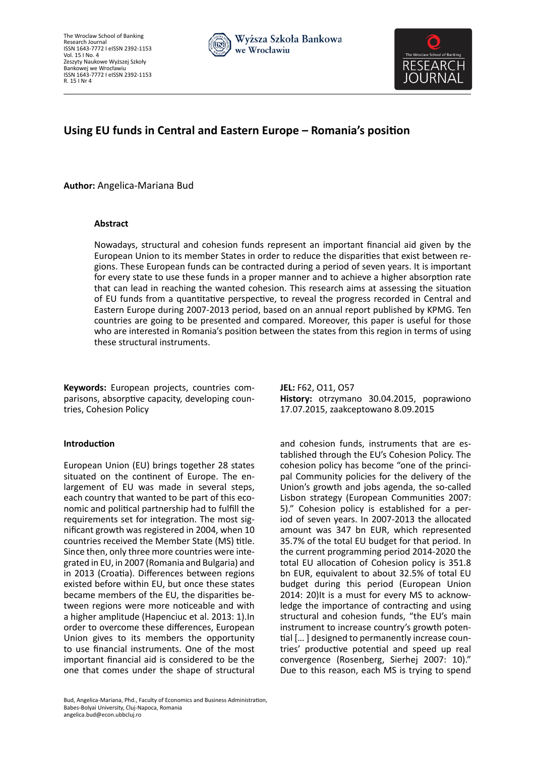



# **Using EU funds in Central and Eastern Europe – Romania's position**

**Author:** Angelica-Mariana Bud

# **Abstract**

Nowadays, structural and cohesion funds represent an important financial aid given by the European Union to its member States in order to reduce the disparities that exist between regions. These European funds can be contracted during a period of seven years. It is important for every state to use these funds in a proper manner and to achieve a higher absorption rate that can lead in reaching the wanted cohesion. This research aims at assessing the situation of EU funds from a quantitative perspective, to reveal the progress recorded in Central and Eastern Europe during 2007-2013 period, based on an annual report published by KPMG. Ten countries are going to be presented and compared. Moreover, this paper is useful for those who are interested in Romania's position between the states from this region in terms of using these structural instruments.

**Keywords:** European projects, countries comparisons, absorptive capacity, developing countries, Cohesion Policy

# **Introduction**

European Union (EU) brings together 28 states situated on the continent of Europe. The enlargement of EU was made in several steps, each country that wanted to be part of this economic and political partnership had to fulfill the requirements set for integration. The most significant growth was registered in 2004, when 10 countries received the Member State (MS) title. Since then, only three more countries were integrated in EU, in 2007 (Romania and Bulgaria) and in 2013 (Croatia). Differences between regions existed before within EU, but once these states became members of the EU, the disparities between regions were more noticeable and with a higher amplitude (Hapenciuc et al. 2013: 1).In order to overcome these differences, European Union gives to its members the opportunity to use financial instruments. One of the most important financial aid is considered to be the one that comes under the shape of structural **JEL:** F62, O11, O57 **History:** otrzymano 30.04.2015, poprawiono 17.07.2015, zaakceptowano 8.09.2015

and cohesion funds, instruments that are established through the EU's Cohesion Policy. The cohesion policy has become "one of the principal Community policies for the delivery of the Union's growth and jobs agenda, the so-called Lisbon strategy (European Communities 2007: 5)." Cohesion policy is established for a period of seven years. In 2007-2013 the allocated amount was 347 bn EUR, which represented 35.7% of the total EU budget for that period. In the current programming period 2014-2020 the total EU allocation of Cohesion policy is 351.8 bn EUR, equivalent to about 32.5% of total EU budget during this period (European Union 2014: 20)It is a must for every MS to acknowledge the importance of contracting and using structural and cohesion funds, "the EU's main instrument to increase country's growth potential [… ] designed to permanently increase countries' productive potential and speed up real convergence (Rosenberg, Sierhej 2007: 10)." Due to this reason, each MS is trying to spend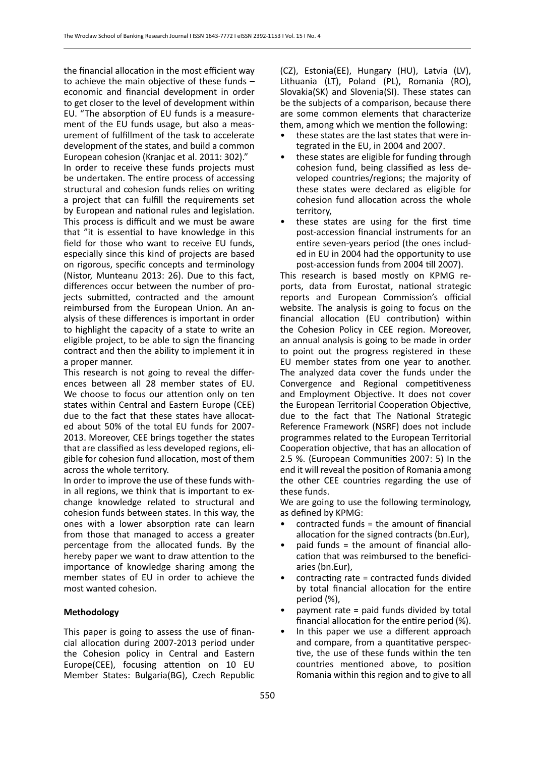the financial allocation in the most efficient way to achieve the main objective of these funds – economic and financial development in order to get closer to the level of development within EU. "The absorption of EU funds is a measurement of the EU funds usage, but also a measurement of fulfillment of the task to accelerate development of the states, and build a common

European cohesion (Kranjac et al. 2011: 302)." In order to receive these funds projects must be undertaken. The entire process of accessing structural and cohesion funds relies on writing a project that can fulfill the requirements set by European and national rules and legislation. This process is difficult and we must be aware that "it is essential to have knowledge in this field for those who want to receive EU funds, especially since this kind of projects are based on rigorous, specific concepts and terminology (Nistor, Munteanu 2013: 26). Due to this fact, differences occur between the number of projects submitted, contracted and the amount reimbursed from the European Union. An analysis of these differences is important in order to highlight the capacity of a state to write an eligible project, to be able to sign the financing contract and then the ability to implement it in a proper manner.

This research is not going to reveal the differences between all 28 member states of EU. We choose to focus our attention only on ten states within Central and Eastern Europe (CEE) due to the fact that these states have allocated about 50% of the total EU funds for 2007- 2013. Moreover, CEE brings together the states that are classified as less developed regions, eligible for cohesion fund allocation, most of them across the whole territory.

In order to improve the use of these funds within all regions, we think that is important to exchange knowledge related to structural and cohesion funds between states. In this way, the ones with a lower absorption rate can learn from those that managed to access a greater percentage from the allocated funds. By the hereby paper we want to draw attention to the importance of knowledge sharing among the member states of EU in order to achieve the most wanted cohesion.

# **Methodology**

This paper is going to assess the use of financial allocation during 2007-2013 period under the Cohesion policy in Central and Eastern Europe(CEE), focusing attention on 10 EU Member States: Bulgaria(BG), Czech Republic (CZ), Estonia(EE), Hungary (HU), Latvia (LV), Lithuania (LT), Poland (PL), Romania (RO), Slovakia(SK) and Slovenia(SI). These states can be the subjects of a comparison, because there are some common elements that characterize them, among which we mention the following:

- these states are the last states that were integrated in the EU, in 2004 and 2007.
- these states are eligible for funding through cohesion fund, being classified as less developed countries/regions; the majority of these states were declared as eligible for cohesion fund allocation across the whole territory,
- these states are using for the first time post-accession financial instruments for an entire seven-years period (the ones included in EU in 2004 had the opportunity to use post-accession funds from 2004 till 2007).

This research is based mostly on KPMG reports, data from Eurostat, national strategic reports and European Commission's official website. The analysis is going to focus on the financial allocation (EU contribution) within the Cohesion Policy in CEE region. Moreover, an annual analysis is going to be made in order to point out the progress registered in these EU member states from one year to another. The analyzed data cover the funds under the Convergence and Regional competitiveness and Employment Objective. It does not cover the European Territorial Cooperation Objective, due to the fact that The National Strategic Reference Framework (NSRF) does not include programmes related to the European Territorial Cooperation objective, that has an allocation of 2.5 %. (European Communities 2007: 5) In the end it will reveal the position of Romania among the other CEE countries regarding the use of these funds.

We are going to use the following terminology, as defined by KPMG:

- contracted funds = the amount of financial allocation for the signed contracts (bn.Eur),
- paid funds = the amount of financial allocation that was reimbursed to the beneficiaries (bn.Eur),
- contracting rate = contracted funds divided by total financial allocation for the entire period (%),
- payment rate = paid funds divided by total financial allocation for the entire period (%).
- In this paper we use a different approach and compare, from a quantitative perspective, the use of these funds within the ten countries mentioned above, to position Romania within this region and to give to all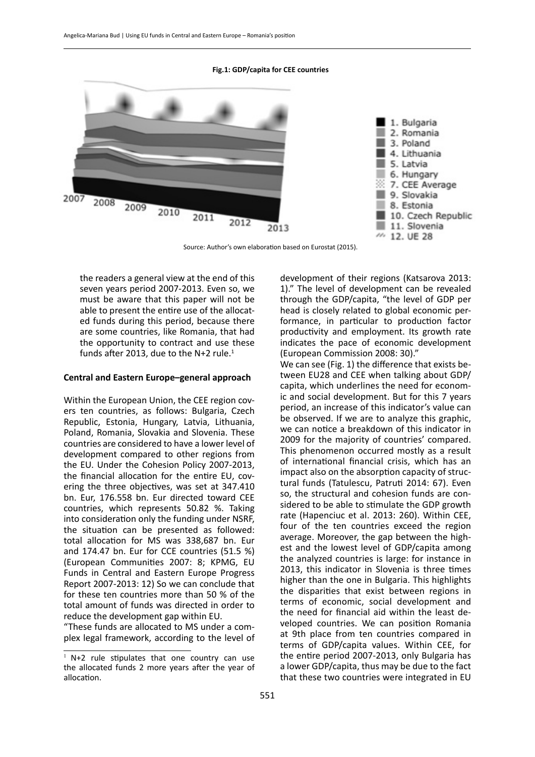### **Fig.1: GDP/capita for CEE countries**



Source: Author's own elaboration based on Eurostat (2015).

the readers a general view at the end of this seven years period 2007-2013. Even so, we must be aware that this paper will not be able to present the entire use of the allocated funds during this period, because there are some countries, like Romania, that had the opportunity to contract and use these funds after 2013, due to the N+2 rule. $1$ 

### **Central and Eastern Europe–general approach**

Within the European Union, the CEE region covers ten countries, as follows: Bulgaria, Czech Republic, Estonia, Hungary, Latvia, Lithuania, Poland, Romania, Slovakia and Slovenia. These countries are considered to have a lower level of development compared to other regions from the EU. Under the Cohesion Policy 2007-2013, the financial allocation for the entire EU, covering the three objectives, was set at 347.410 bn. Eur, 176.558 bn. Eur directed toward CEE countries, which represents 50.82 %. Taking into consideration only the funding under NSRF, the situation can be presented as followed: total allocation for MS was 338,687 bn. Eur and 174.47 bn. Eur for CCE countries (51.5 %) (European Communities 2007: 8; KPMG, EU Funds in Central and Eastern Europe Progress Report 2007-2013: 12) So we can conclude that for these ten countries more than 50 % of the total amount of funds was directed in order to reduce the development gap within EU.

"These funds are allocated to MS under a complex legal framework, according to the level of development of their regions (Katsarova 2013: 1)." The level of development can be revealed through the GDP/capita, "the level of GDP per head is closely related to global economic performance, in particular to production factor productivity and employment. Its growth rate indicates the pace of economic development (European Commission 2008: 30)."

We can see (Fig. 1) the difference that exists between EU28 and CEE when talking about GDP/ capita, which underlines the need for economic and social development. But for this 7 years period, an increase of this indicator's value can be observed. If we are to analyze this graphic, we can notice a breakdown of this indicator in 2009 for the majority of countries' compared. This phenomenon occurred mostly as a result of international financial crisis, which has an impact also on the absorption capacity of structural funds (Tatulescu, Patruti 2014: 67). Even so, the structural and cohesion funds are considered to be able to stimulate the GDP growth rate (Hapenciuc et al. 2013: 260). Within CEE, four of the ten countries exceed the region average. Moreover, the gap between the highest and the lowest level of GDP/capita among the analyzed countries is large: for instance in 2013, this indicator in Slovenia is three times higher than the one in Bulgaria. This highlights the disparities that exist between regions in terms of economic, social development and the need for financial aid within the least developed countries. We can position Romania at 9th place from ten countries compared in terms of GDP/capita values. Within CEE, for the entire period 2007-2013, only Bulgaria has a lower GDP/capita, thus may be due to the fact that these two countries were integrated in EU

 $1$  N+2 rule stipulates that one country can use the allocated funds 2 more years after the year of allocation.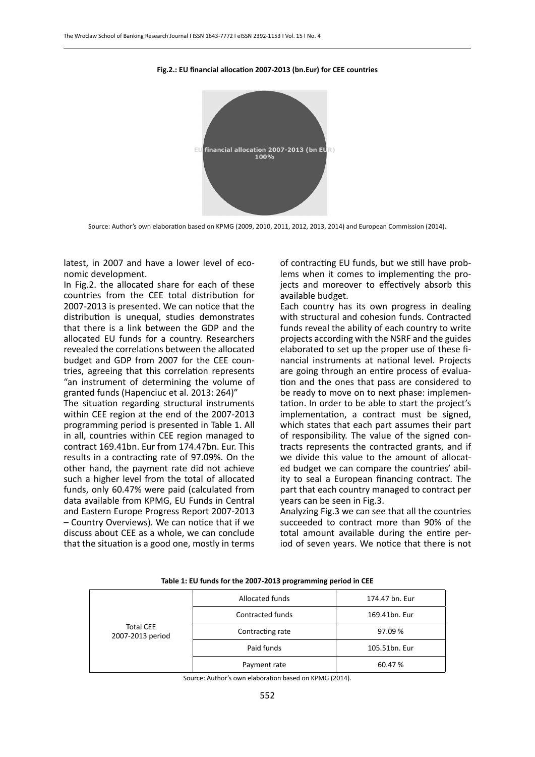

#### **Fig.2.: EU financial allocation 2007-2013 (bn.Eur) for CEE countries**

Source: Author's own elaboration based on KPMG (2009, 2010, 2011, 2012, 2013, 2014) and European Commission (2014).

latest, in 2007 and have a lower level of economic development.

In Fig.2. the allocated share for each of these countries from the CEE total distribution for 2007-2013 is presented. We can notice that the distribution is unequal, studies demonstrates that there is a link between the GDP and the allocated EU funds for a country. Researchers revealed the correlations between the allocated budget and GDP from 2007 for the CEE countries, agreeing that this correlation represents "an instrument of determining the volume of granted funds (Hapenciuc et al. 2013: 264)"

The situation regarding structural instruments within CEE region at the end of the 2007-2013 programming period is presented in Table 1. All in all, countries within CEE region managed to contract 169.41bn. Eur from 174.47bn. Eur. This results in a contracting rate of 97.09%. On the other hand, the payment rate did not achieve such a higher level from the total of allocated funds, only 60.47% were paid (calculated from data available from KPMG, EU Funds in Central and Eastern Europe Progress Report 2007-2013 – Country Overviews). We can notice that if we discuss about CEE as a whole, we can conclude that the situation is a good one, mostly in terms of contracting EU funds, but we still have problems when it comes to implementing the projects and moreover to effectively absorb this available budget.

Each country has its own progress in dealing with structural and cohesion funds. Contracted funds reveal the ability of each country to write projects according with the NSRF and the guides elaborated to set up the proper use of these financial instruments at national level. Projects are going through an entire process of evaluation and the ones that pass are considered to be ready to move on to next phase: implementation. In order to be able to start the project's implementation, a contract must be signed, which states that each part assumes their part of responsibility. The value of the signed contracts represents the contracted grants, and if we divide this value to the amount of allocated budget we can compare the countries' ability to seal a European financing contract. The part that each country managed to contract per years can be seen in Fig.3.

Analyzing Fig.3 we can see that all the countries succeeded to contract more than 90% of the total amount available during the entire period of seven years. We notice that there is not

| <b>Total CEE</b><br>2007-2013 period | Allocated funds         | 174.47 bn. Eur |  |  |
|--------------------------------------|-------------------------|----------------|--|--|
|                                      | <b>Contracted funds</b> | 169.41bn. Eur  |  |  |
|                                      | Contracting rate        | 97.09%         |  |  |
|                                      | Paid funds              | 105.51bn. Eur  |  |  |
|                                      | Payment rate            | 60.47%         |  |  |

#### **Table 1: EU funds for the 2007-2013 programming period in CEE**

Source: Author's own elaboration based on KPMG (2014).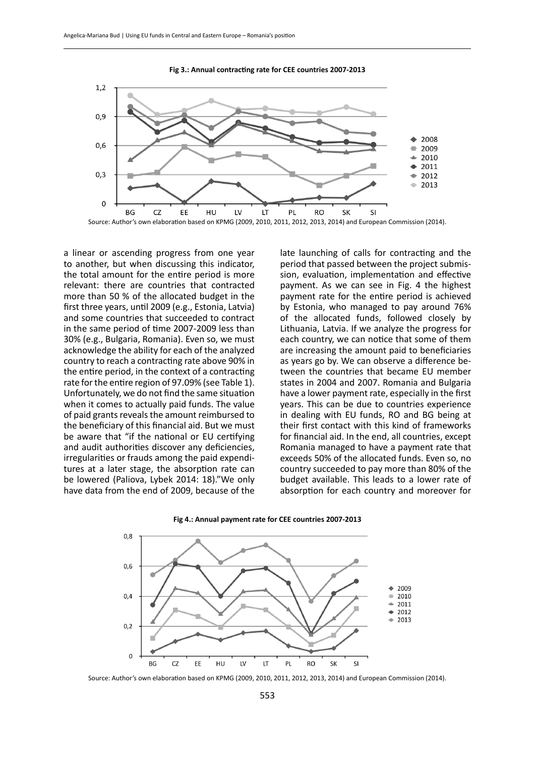

**Fig 3.: Annual contracting rate for CEE countries 2007-2013**

a linear or ascending progress from one year to another, but when discussing this indicator, the total amount for the entire period is more relevant: there are countries that contracted more than 50 % of the allocated budget in the first three years, until 2009 (e.g., Estonia, Latvia) and some countries that succeeded to contract in the same period of time 2007-2009 less than 30% (e.g., Bulgaria, Romania). Even so, we must acknowledge the ability for each of the analyzed country to reach a contracting rate above 90% in the entire period, in the context of a contracting rate for the entire region of 97.09% (see Table 1). Unfortunately, we do not find the same situation when it comes to actually paid funds. The value of paid grants reveals the amount reimbursed to the beneficiary of this financial aid. But we must be aware that "if the national or EU certifying and audit authorities discover any deficiencies, irregularities or frauds among the paid expenditures at a later stage, the absorption rate can be lowered (Paliova, Lybek 2014: 18)."We only have data from the end of 2009, because of the

late launching of calls for contracting and the period that passed between the project submission, evaluation, implementation and effective payment. As we can see in Fig. 4 the highest payment rate for the entire period is achieved by Estonia, who managed to pay around 76% of the allocated funds, followed closely by Lithuania, Latvia. If we analyze the progress for each country, we can notice that some of them are increasing the amount paid to beneficiaries as years go by. We can observe a difference between the countries that became EU member states in 2004 and 2007. Romania and Bulgaria have a lower payment rate, especially in the first years. This can be due to countries experience in dealing with EU funds, RO and BG being at their first contact with this kind of frameworks for financial aid. In the end, all countries, except Romania managed to have a payment rate that exceeds 50% of the allocated funds. Even so, no country succeeded to pay more than 80% of the budget available. This leads to a lower rate of absorption for each country and moreover for

![](_page_4_Figure_5.jpeg)

![](_page_4_Figure_6.jpeg)

Source: Author's own elaboration based on KPMG (2009, 2010, 2011, 2012, 2013, 2014) and European Commission (2014).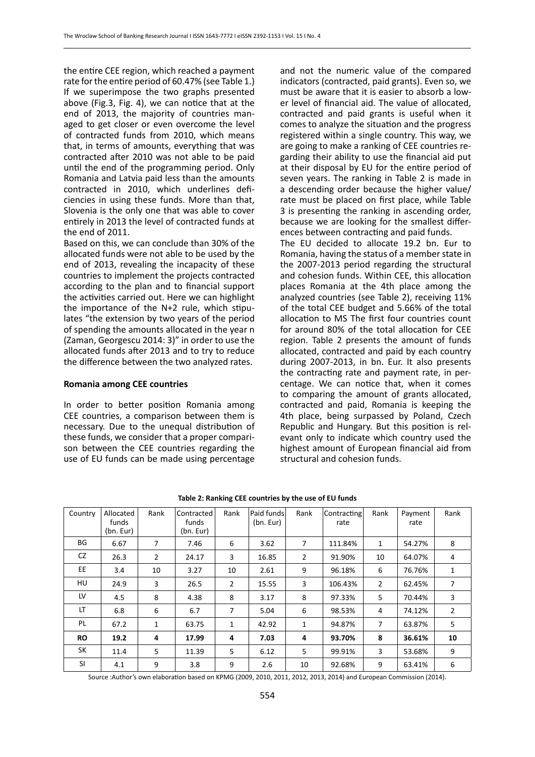the entire CEE region, which reached a payment rate for the entire period of 60.47% (see Table 1.) If we superimpose the two graphs presented above (Fig.3, Fig. 4), we can notice that at the end of 2013, the majority of countries managed to get closer or even overcome the level of contracted funds from 2010, which means that, in terms of amounts, everything that was contracted after 2010 was not able to be paid until the end of the programming period. Only Romania and Latvia paid less than the amounts contracted in 2010, which underlines deficiencies in using these funds. More than that, Slovenia is the only one that was able to cover entirely in 2013 the level of contracted funds at the end of 2011.

Based on this, we can conclude than 30% of the allocated funds were not able to be used by the end of 2013, revealing the incapacity of these countries to implement the projects contracted according to the plan and to financial support the activities carried out. Here we can highlight the importance of the N+2 rule, which stipulates "the extension by two years of the period of spending the amounts allocated in the year n (Zaman, Georgescu 2014: 3)" in order to use the allocated funds after 2013 and to try to reduce the difference between the two analyzed rates.

### **Romania among CEE countries**

In order to better position Romania among CEE countries, a comparison between them is necessary. Due to the unequal distribution of these funds, we consider that a proper comparison between the CEE countries regarding the use of EU funds can be made using percentage

and not the numeric value of the compared indicators (contracted, paid grants). Even so, we must be aware that it is easier to absorb a lower level of financial aid. The value of allocated, contracted and paid grants is useful when it comes to analyze the situation and the progress registered within a single country. This way, we are going to make a ranking of CEE countries regarding their ability to use the financial aid put at their disposal by EU for the entire period of seven years. The ranking in Table 2 is made in a descending order because the higher value/ rate must be placed on first place, while Table 3 is presenting the ranking in ascending order, because we are looking for the smallest differences between contracting and paid funds.

The EU decided to allocate 19.2 bn. Eur to Romania, having the status of a member state in the 2007-2013 period regarding the structural and cohesion funds. Within CEE, this allocation places Romania at the 4th place among the analyzed countries (see Table 2), receiving 11% of the total CEE budget and 5.66% of the total allocation to MS The first four countries count for around 80% of the total allocation for CEE region. Table 2 presents the amount of funds allocated, contracted and paid by each country during 2007-2013, in bn. Eur. It also presents the contracting rate and payment rate, in percentage. We can notice that, when it comes to comparing the amount of grants allocated, contracted and paid, Romania is keeping the 4th place, being surpassed by Poland, Czech Republic and Hungary. But this position is relevant only to indicate which country used the highest amount of European financial aid from structural and cohesion funds.

| Country   | Allocated<br>funds<br>(bn. Eur) | Rank           | Contracted<br>funds<br>(bn. Eur) | Rank | Paid funds<br>(bn. Eur) | Rank           | Contracting<br>rate | Rank           | Payment<br>rate | Rank           |
|-----------|---------------------------------|----------------|----------------------------------|------|-------------------------|----------------|---------------------|----------------|-----------------|----------------|
| BG        | 6.67                            | 7              | 7.46                             | 6    | 3.62                    | 7              | 111.84%             | 1              | 54.27%          | 8              |
| CZ.       | 26.3                            | $\overline{2}$ | 24.17                            | 3    | 16.85                   | $\overline{2}$ | 91.90%              | 10             | 64.07%          | 4              |
| EE.       | 3.4                             | 10             | 3.27                             | 10   | 2.61                    | 9              | 96.18%              | 6              | 76.76%          | 1              |
| HU        | 24.9                            | 3              | 26.5                             | 2    | 15.55                   | 3              | 106.43%             | $\overline{2}$ | 62.45%          | 7              |
| LV        | 4.5                             | 8              | 4.38                             | 8    | 3.17                    | 8              | 97.33%              | 5              | 70.44%          | 3              |
| LT        | 6.8                             | 6              | 6.7                              | 7    | 5.04                    | 6              | 98.53%              | 4              | 74.12%          | $\overline{2}$ |
| PL        | 67.2                            | 1              | 63.75                            | 1    | 42.92                   | 1              | 94.87%              | $\overline{7}$ | 63.87%          | 5              |
| <b>RO</b> | 19.2                            | 4              | 17.99                            | 4    | 7.03                    | 4              | 93.70%              | 8              | 36.61%          | 10             |
| <b>SK</b> | 11.4                            | 5              | 11.39                            | 5    | 6.12                    | 5              | 99.91%              | 3              | 53.68%          | 9              |
| <b>SI</b> | 4.1                             | 9              | 3.8                              | 9    | 2.6                     | 10             | 92.68%              | 9              | 63.41%          | 6              |

#### **Table 2: Ranking CEE countries by the use of EU funds**

Source :Author's own elaboration based on KPMG (2009, 2010, 2011, 2012, 2013, 2014) and European Commission (2014).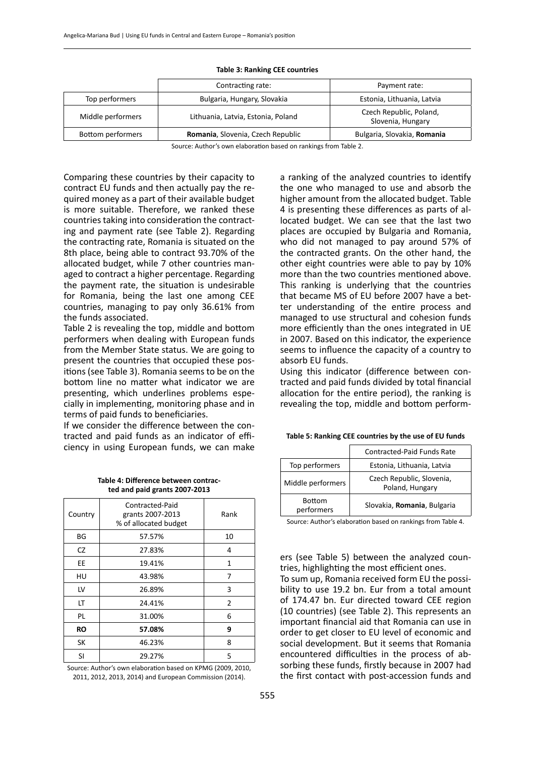#### **Table 3: Ranking CEE countries**

|                   | Contracting rate:                  | Payment rate:                                |  |  |
|-------------------|------------------------------------|----------------------------------------------|--|--|
| Top performers    | Bulgaria, Hungary, Slovakia        | Estonia, Lithuania, Latvia                   |  |  |
| Middle performers | Lithuania, Latvia, Estonia, Poland | Czech Republic, Poland,<br>Slovenia, Hungary |  |  |
| Bottom performers | Romania, Slovenia, Czech Republic  | Bulgaria, Slovakia, Romania                  |  |  |

Source: Author's own elaboration based on rankings from Table 2.

Comparing these countries by their capacity to contract EU funds and then actually pay the required money as a part of their available budget is more suitable. Therefore, we ranked these countries taking into consideration the contracting and payment rate (see Table 2). Regarding the contracting rate, Romania is situated on the 8th place, being able to contract 93.70% of the allocated budget, while 7 other countries managed to contract a higher percentage. Regarding the payment rate, the situation is undesirable for Romania, being the last one among CEE countries, managing to pay only 36.61% from the funds associated.

Table 2 is revealing the top, middle and bottom performers when dealing with European funds from the Member State status. We are going to present the countries that occupied these positions (see Table 3). Romania seems to be on the bottom line no matter what indicator we are presenting, which underlines problems especially in implementing, monitoring phase and in terms of paid funds to beneficiaries.

If we consider the difference between the contracted and paid funds as an indicator of efficiency in using European funds, we can make

> **Table 4: Difference between contracted and paid grants 2007-2013**

| Country   | Contracted-Paid<br>grants 2007-2013<br>% of allocated budget | Rank |
|-----------|--------------------------------------------------------------|------|
| ΒG        | 57.57%                                                       | 10   |
| CZ.       | 27.83%                                                       | 4    |
| EЕ        | 19.41%                                                       | 1    |
| HU        | 43.98%                                                       | 7    |
| LV        | 26.89%                                                       | 3    |
| LT        | 24.41%                                                       | 2    |
| PL        | 31.00%                                                       | 6    |
| <b>RO</b> | 57.08%                                                       | 9    |
| SK        | 46.23%                                                       | 8    |
| SI        | 29.27%                                                       | 5    |

Source: Author's own elaboration based on KPMG (2009, 2010, 2011, 2012, 2013, 2014) and European Commission (2014).

a ranking of the analyzed countries to identify the one who managed to use and absorb the higher amount from the allocated budget. Table 4 is presenting these differences as parts of allocated budget. We can see that the last two places are occupied by Bulgaria and Romania, who did not managed to pay around 57% of the contracted grants. On the other hand, the other eight countries were able to pay by 10% more than the two countries mentioned above. This ranking is underlying that the countries that became MS of EU before 2007 have a better understanding of the entire process and managed to use structural and cohesion funds more efficiently than the ones integrated in UE in 2007. Based on this indicator, the experience seems to influence the capacity of a country to absorb EU funds.

Using this indicator (difference between contracted and paid funds divided by total financial allocation for the entire period), the ranking is revealing the top, middle and bottom perform-

|                             | Contracted-Paid Funds Rate                   |
|-----------------------------|----------------------------------------------|
| Top performers              | Estonia, Lithuania, Latvia                   |
| Middle performers           | Czech Republic, Slovenia,<br>Poland, Hungary |
| <b>Bottom</b><br>performers | Slovakia, Romania, Bulgaria                  |

|  |  | Table 5: Ranking CEE countries by the use of EU funds |
|--|--|-------------------------------------------------------|
|--|--|-------------------------------------------------------|

Source: Author's elaboration based on rankings from Table 4.

ers (see Table 5) between the analyzed countries, highlighting the most efficient ones.

To sum up, Romania received form EU the possibility to use 19.2 bn. Eur from a total amount of 174.47 bn. Eur directed toward CEE region (10 countries) (see Table 2). This represents an important financial aid that Romania can use in order to get closer to EU level of economic and social development. But it seems that Romania encountered difficulties in the process of absorbing these funds, firstly because in 2007 had the first contact with post-accession funds and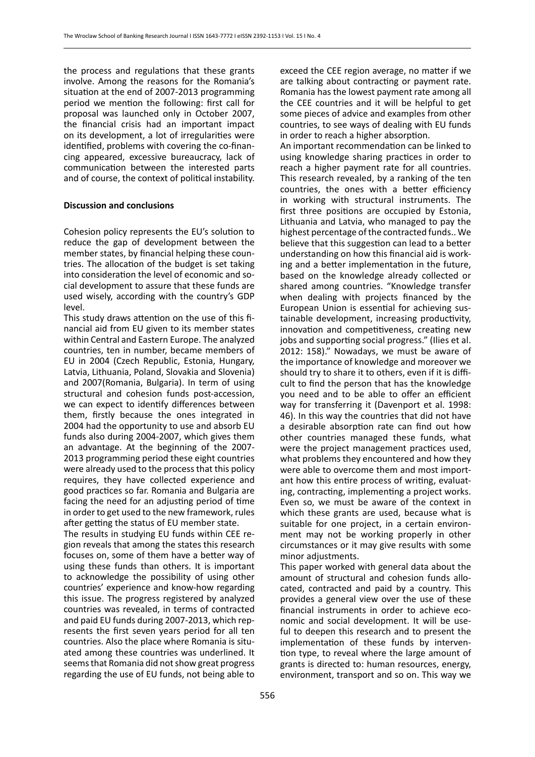the process and regulations that these grants involve. Among the reasons for the Romania's situation at the end of 2007-2013 programming period we mention the following: first call for proposal was launched only in October 2007, the financial crisis had an important impact on its development, a lot of irregularities were identified, problems with covering the co-financing appeared, excessive bureaucracy, lack of communication between the interested parts and of course, the context of political instability.

### **Discussion and conclusions**

Cohesion policy represents the EU's solution to reduce the gap of development between the member states, by financial helping these countries. The allocation of the budget is set taking into consideration the level of economic and social development to assure that these funds are used wisely, according with the country's GDP level.

This study draws attention on the use of this financial aid from EU given to its member states within Central and Eastern Europe. The analyzed countries, ten in number, became members of EU in 2004 (Czech Republic, Estonia, Hungary, Latvia, Lithuania, Poland, Slovakia and Slovenia) and 2007(Romania, Bulgaria). In term of using structural and cohesion funds post-accession, we can expect to identify differences between them, firstly because the ones integrated in 2004 had the opportunity to use and absorb EU funds also during 2004-2007, which gives them an advantage. At the beginning of the 2007- 2013 programming period these eight countries were already used to the process that this policy requires, they have collected experience and good practices so far. Romania and Bulgaria are facing the need for an adjusting period of time in order to get used to the new framework, rules after getting the status of EU member state.

The results in studying EU funds within CEE region reveals that among the states this research focuses on, some of them have a better way of using these funds than others. It is important to acknowledge the possibility of using other countries' experience and know-how regarding this issue. The progress registered by analyzed countries was revealed, in terms of contracted and paid EU funds during 2007-2013, which represents the first seven years period for all ten countries. Also the place where Romania is situated among these countries was underlined. It seems that Romania did not show great progress regarding the use of EU funds, not being able to

exceed the CEE region average, no matter if we are talking about contracting or payment rate. Romania has the lowest payment rate among all the CEE countries and it will be helpful to get some pieces of advice and examples from other countries, to see ways of dealing with EU funds in order to reach a higher absorption.

An important recommendation can be linked to using knowledge sharing practices in order to reach a higher payment rate for all countries. This research revealed, by a ranking of the ten countries, the ones with a better efficiency in working with structural instruments. The first three positions are occupied by Estonia, Lithuania and Latvia, who managed to pay the highest percentage of the contracted funds.. We believe that this suggestion can lead to a better understanding on how this financial aid is working and a better implementation in the future, based on the knowledge already collected or shared among countries. "Knowledge transfer when dealing with projects financed by the European Union is essential for achieving sustainable development, increasing productivity, innovation and competitiveness, creating new jobs and supporting social progress." (Ilies et al. 2012: 158)." Nowadays, we must be aware of the importance of knowledge and moreover we should try to share it to others, even if it is difficult to find the person that has the knowledge you need and to be able to offer an efficient way for transferring it (Davenport et al. 1998: 46). In this way the countries that did not have a desirable absorption rate can find out how other countries managed these funds, what were the project management practices used, what problems they encountered and how they were able to overcome them and most important how this entire process of writing, evaluating, contracting, implementing a project works. Even so, we must be aware of the context in which these grants are used, because what is suitable for one project, in a certain environment may not be working properly in other circumstances or it may give results with some minor adjustments.

This paper worked with general data about the amount of structural and cohesion funds allocated, contracted and paid by a country. This provides a general view over the use of these financial instruments in order to achieve economic and social development. It will be useful to deepen this research and to present the implementation of these funds by intervention type, to reveal where the large amount of grants is directed to: human resources, energy, environment, transport and so on. This way we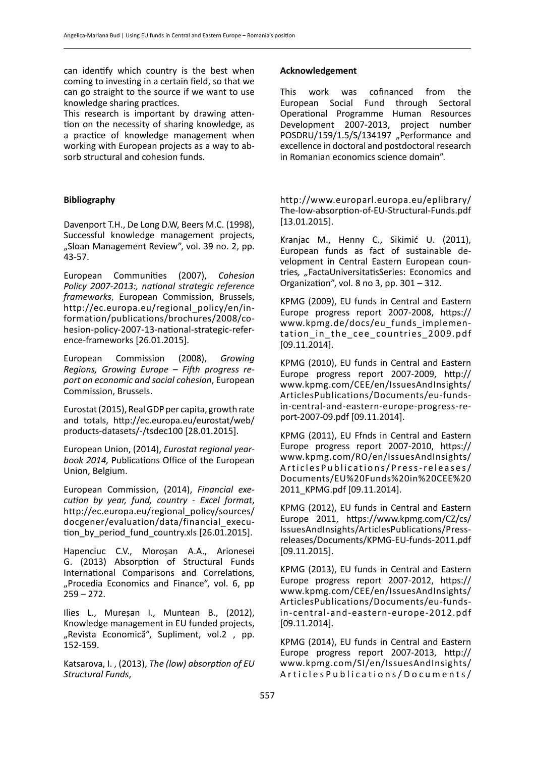can identify which country is the best when coming to investing in a certain field, so that we can go straight to the source if we want to use knowledge sharing practices.

This research is important by drawing attention on the necessity of sharing knowledge, as a practice of knowledge management when working with European projects as a way to absorb structural and cohesion funds.

# **Bibliography**

Davenport T.H., De Long D.W, Beers M.C. (1998), Successful knowledge management projects, "Sloan Management Review", vol. 39 no. 2, pp. 43-57.

European Communities (2007), *Cohesion Policy 2007-2013:, national strategic reference frameworks*, European Commission, Brussels, http://ec.europa.eu/regional\_policy/en/information/publications/brochures/2008/cohesion-policy-2007-13-national-strategic-reference-frameworks [26.01.2015].

European Commission (2008), *Growing Regions, Growing Europe – Fifth progress report on economic and social cohesion*, European Commission, Brussels.

Eurostat (2015), Real GDP per capita, growth rate and totals, http://ec.europa.eu/eurostat/web/ products-datasets/-/tsdec100 [28.01.2015].

European Union, (2014), *Eurostat regional yearbook 2014,* Publications Office of the European Union, Belgium.

European Commission, (2014), *Financial execution by year, fund, country - Excel format*, http://ec.europa.eu/regional\_policy/sources/ docgener/evaluation/data/financial\_execution\_by\_period\_fund\_country.xls [26.01.2015].

Hapenciuc C.V., Moroșan A.A., Arionesei G. (2013) Absorption of Structural Funds International Comparisons and Correlations, "Procedia Economics and Finance", vol. 6, pp  $259 - 272.$ 

Ilies L., Mureșan I., Muntean B., (2012), Knowledge management in EU funded projects, "Revista Economică", Supliment, vol.2, pp. 152-159.

Katsarova, I. , (2013), *The (low) absorption of EU Structural Funds*,

# **Acknowledgement**

This work was cofinanced from the European Social Fund through Sectoral Operational Programme Human Resources Development 2007-2013, project number POSDRU/159/1.5/S/134197 ..Performance and excellence in doctoral and postdoctoral research in Romanian economics science domain".

http://www.europarl.europa.eu/eplibrary/ The-low-absorption-of-EU-Structural-Funds.pdf [13.01.2015].

Kranjac M., Henny C., Sikimić U. (2011), European funds as fact of sustainable development in Central Eastern European countries*, "*FactaUniversitatisSeries: Economics and Organization", vol. 8 no 3, pp. 301 – 312.

KPMG (2009), EU funds in Central and Eastern Europe progress report 2007-2008, https:// www.kpmg.de/docs/eu\_funds\_implementation in the cee countries 2009.pdf [09.11.2014].

KPMG (2010), EU funds in Central and Eastern Europe progress report 2007-2009, http:// www.kpmg.com/CEE/en/IssuesAndInsights/ ArticlesPublications/Documents/eu-fundsin-central-and-eastern-europe-progress-report-2007-09.pdf [09.11.2014].

KPMG (2011), EU Ffnds in Central and Eastern Europe progress report 2007-2010, https:// www.kpmg.com/RO/en/IssuesAndInsights/ ArticlesPublications/Press-releases/ Documents/EU%20Funds%20in%20CEE%20 2011\_KPMG.pdf [09.11.2014].

KPMG (2012), EU funds in Central and Eastern Europe 2011, https://www.kpmg.com/CZ/cs/ IssuesAndInsights/ArticlesPublications/Pressreleases/Documents/KPMG-EU-funds-2011.pdf [09.11.2015].

KPMG (2013), EU funds in Central and Eastern Europe progress report 2007-2012, https:// www.kpmg.com/CEE/en/IssuesAndInsights/ ArticlesPublications/Documents/eu-fundsin-central-and-eastern-europe-2012.pdf [09.11.2014].

KPMG (2014), EU funds in Central and Eastern Europe progress report 2007-2013, http:// www.kpmg.com/SI/en/IssuesAndInsights/ ArticlesPublications/Documents/